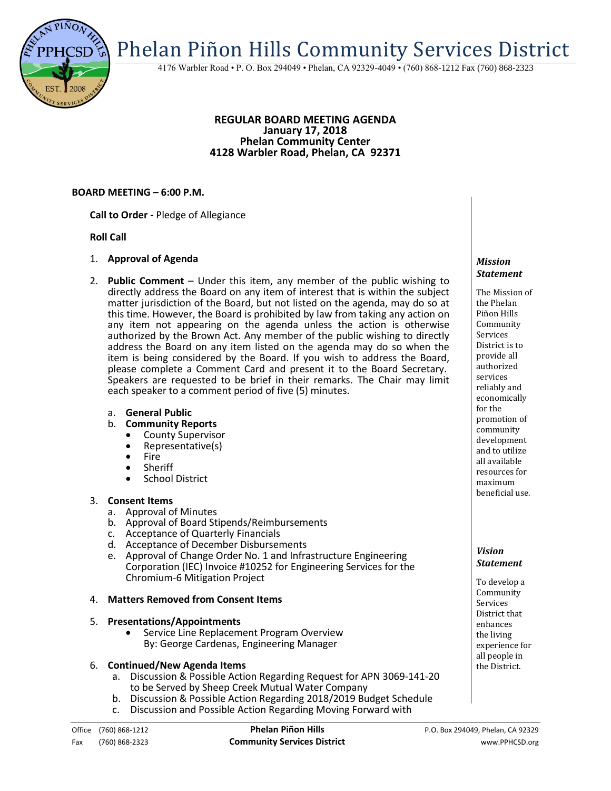Phelan Piñon Hills Community Services District

4176 Warbler Road • P. O. Box 294049 • Phelan, CA 92329-4049 • (760) 868-1212 Fax (760) 868-2323

#### **REGULAR BOARD MEETING AGENDA January 17, 2018 Phelan Community Center 4128 Warbler Road, Phelan, CA 92371**

### **BOARD MEETING – 6:00 P.M.**

**Call to Order -** Pledge of Allegiance

### **Roll Call**

- 1. **Approval of Agenda**
- 2. **Public Comment**  Under this item, any member of the public wishing to directly address the Board on any item of interest that is within the subject matter jurisdiction of the Board, but not listed on the agenda, may do so at this time. However, the Board is prohibited by law from taking any action on any item not appearing on the agenda unless the action is otherwise authorized by the Brown Act. Any member of the public wishing to directly address the Board on any item listed on the agenda may do so when the item is being considered by the Board. If you wish to address the Board, please complete a Comment Card and present it to the Board Secretary. Speakers are requested to be brief in their remarks. The Chair may limit each speaker to a comment period of five (5) minutes.
	- a. **General Public**
	- b. **Community Reports**
		- County Supervisor
		- Representative(s)
		- Fire
		- Sheriff
		- School District

## 3. **Consent Items**

- a. Approval of Minutes
- b. Approval of Board Stipends/Reimbursements
- c. Acceptance of Quarterly Financials
- d. Acceptance of December Disbursements
- e. Approval of Change Order No. 1 and Infrastructure Engineering Corporation (IEC) Invoice #10252 for Engineering Services for the Chromium-6 Mitigation Project

## 4. **Matters Removed from Consent Items**

#### 5. **Presentations/Appointments**

 Service Line Replacement Program Overview By: George Cardenas, Engineering Manager

## 6. **Continued/New Agenda Items**

- a. Discussion & Possible Action Regarding Request for APN 3069-141-20 to be Served by Sheep Creek Mutual Water Company
- b. Discussion & Possible Action Regarding 2018/2019 Budget Schedule
- c. Discussion and Possible Action Regarding Moving Forward with

#### *Mission Statement*

The Mission of the Phelan Piñon Hills Community Services District is to provide all authorized services reliably and economically for the promotion of community development and to utilize all available resources for maximum beneficial use.

### *Vision Statement*

To develop a Community Services District that enhances the living experience for all people in the District.